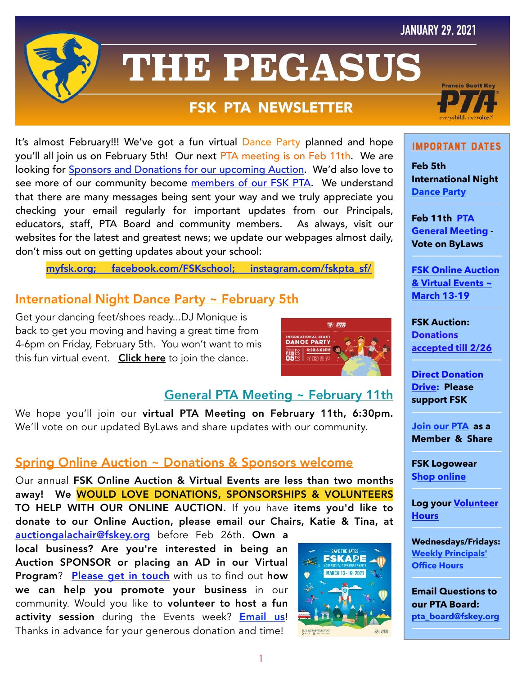## **JANUARY 29, 2021**



# **THE PEGASUS**

## **FSK PTA NEWSLETTER**

It's almost February!!! We've got a fun virtual Dance Party planned and hope you'll all join us on February 5th! Our next PTA meeting is on Feb 11th. We are looking for [Sponsors and Donations for our upcoming Auction.](https://myfsk.org/enrichment/fsk-gala/) We'd also love to see more of our community become [members of our FSK PTA.](https://jointotem.com/ca/san-francisco/francis-scott-key-elementary-pta) We understand that there are many messages being sent your way and we truly appreciate you checking your email regularly for important updates from our Principals, educators, staff, PTA Board and community members. As always, visit our websites for the latest and greatest news; we update our webpages almost daily, don't miss out on getting updates about your school:

[myfsk.org;](https://myfsk.org) [facebook.com/FSKschool](http://www.facebook.com/FSKschool); [instagram.com/fskpta\\_sf/](https://www.instagram.com/fskpta_sf/)

## International Night Dance Party ~ February 5th

Get your dancing feet/shoes ready...DJ Monique is back to get you moving and having a great time from 4-6pm on Friday, February 5th. You won't want to mis this fun virtual event. [Click here](https://zoom.us/j/92047987756?pwd=amtnREhwYnJ1aGFNSDJsTkRLazRsdz09) to join the dance.



## General PTA Meeting ~ February 11th

We hope you'll join our virtual PTA Meeting on February 11th, 6:30pm. We'll vote on our updated ByLaws and share updates with our community.

## Spring Online Auction ~ Donations & Sponsors welcome

Our annual FSK Online Auction & Virtual Events are less than two months away! We WOULD LOVE DONATIONS, SPONSORSHIPS & VOLUNTEERS TO HELP WITH OUR ONLINE AUCTION. If you have items you'd like to donate to our Online Auction, please email our Chairs, Katie & Tina, at

[auctiongalachair@fskey.org](mailto:auctiongalachair@fskey.org) before Feb 26th. Own a local business? Are you're interested in being an Auction SPONSOR or placing an AD in our Virtual Program? [Please get in touch](mailto:auctiongalachair@fskey.org) with us to find out how we can help you promote your business in our community. Would you like to volunteer to host a fun activity session during the Events week? **[Email us](mailto:auctiongalachair@fskey.org)!** Thanks in advance for your generous donation and time!





#### ImPoRtAnT DaTeS

**Feb 5th International Night [Dance Party](https://zoom.us/j/92047987756?pwd=amtnREhwYnJ1aGFNSDJsTkRLazRsdz09)**

**Feb 11th [PTA](http://myfsk.org)  [General Meeting](http://myfsk.org) - Vote on ByLaws**

**[FSK Online Auction](https://myfsk.org/enrichment/fsk-gala/)  [& Virtual Events ~](https://myfsk.org/enrichment/fsk-gala/)  [March 13-19](https://myfsk.org/enrichment/fsk-gala/)**

**FSK Auction: [Donations](mailto:auctiongalachair@fskey.org)  [accepted till 2/26](mailto:auctiongalachair@fskey.org)**

**[Direct Donation](http://bit.ly/fskdonate)  [Drive:](http://bit.ly/fskdonate) Please support FSK**

**[Join our PTA](https://jointotem.com/ca/san-francisco/francis-scott-key-elementary-pta/join/register) as a Member & Share** 

**FSK Logowear [Shop online](https://myfsk.org/shop/)**

**Log your [Volunteer](https://docs.google.com/forms/d/e/1FAIpQLSd3Yv-P6Vr0N20ErlroPtnAghhG8sok4mJ8KCWQ6fSe6Siaxw/viewform?vc=0&c=0&w=1&flr=0&gxids=7757)  [Hours](https://docs.google.com/forms/d/e/1FAIpQLSd3Yv-P6Vr0N20ErlroPtnAghhG8sok4mJ8KCWQ6fSe6Siaxw/viewform?vc=0&c=0&w=1&flr=0&gxids=7757)** 

**Wednesdays/Fridays: [Weekly Principals'](https://docs.google.com/presentation/d/1LtuRTFfmiSl4oHQgnCoyMOXsr_DdAUXFWg332yDGZ_A/view#slide=id.p)  [Office Hours](https://docs.google.com/presentation/d/1LtuRTFfmiSl4oHQgnCoyMOXsr_DdAUXFWg332yDGZ_A/view#slide=id.p)**

**Email Questions to our PTA Board: [pta\\_board@fskey.org](mailto:pta_board@fskey.org)**